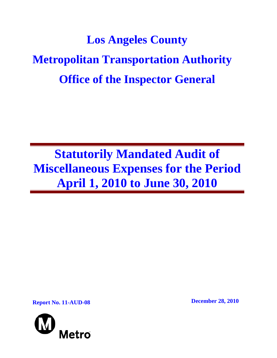# **Los Angeles County Metropolitan Transportation Authority Office of the Inspector General**

**Statutorily Mandated Audit of Miscellaneous Expenses for the Period April 1, 2010 to June 30, 2010** 

**Report No. 11-AUD-08 December 28, 2010** 

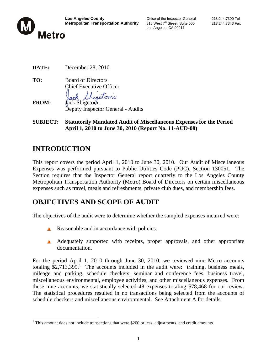

Los Angeles, CA 90017

| DATE: | December 28, 2010 |  |
|-------|-------------------|--|
|       |                   |  |

**TO:** Board of Directors Chief Executive Officer retomi

**FROM:** Jack Shigetomi Deputy Inspector General - Audits

**SUBJECT: Statutorily Mandated Audit of Miscellaneous Expenses for the Period April 1, 2010 to June 30, 2010 (Report No. 11-AUD-08)** 

## **INTRODUCTION**

This report covers the period April 1, 2010 to June 30, 2010. Our Audit of Miscellaneous Expenses was performed pursuant to Public Utilities Code (PUC), Section 130051. The Section requires that the Inspector General report quarterly to the Los Angeles County Metropolitan Transportation Authority (Metro) Board of Directors on certain miscellaneous expenses such as travel, meals and refreshments, private club dues, and membership fees.

## **OBJECTIVES AND SCOPE OF AUDIT**

The objectives of the audit were to determine whether the sampled expenses incurred were:

- Reasonable and in accordance with policies.
- A Adequately supported with receipts, proper approvals, and other appropriate documentation.

For the period April 1, 2010 through June 30, 2010, we reviewed nine Metro accounts totaling  $$2,713,399$ .<sup>1</sup> The accounts included in the audit were: training, business meals, mileage and parking, schedule checkers, seminar and conference fees, business travel, miscellaneous environmental, employee activities, and other miscellaneous expenses. From these nine accounts, we statistically selected 48 expenses totaling \$78,468 for our review. The statistical procedures resulted in no transactions being selected from the accounts of schedule checkers and miscellaneous environmental. See Attachment A for details.

 $\overline{a}$  $1$  This amount does not include transactions that were \$200 or less, adjustments, and credit amounts.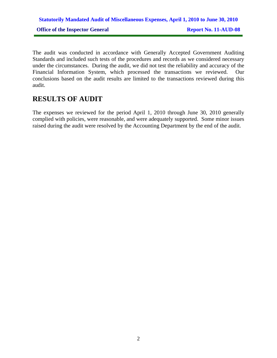## **Statutorily Mandated Audit of Miscellaneous Expenses, April 1, 2010 to June 30, 2010 Office of the Inspector General Report No. 11-AUD-08**

The audit was conducted in accordance with Generally Accepted Government Auditing Standards and included such tests of the procedures and records as we considered necessary under the circumstances. During the audit, we did not test the reliability and accuracy of the Financial Information System, which processed the transactions we reviewed. Our conclusions based on the audit results are limited to the transactions reviewed during this audit.

#### **RESULTS OF AUDIT**

The expenses we reviewed for the period April 1, 2010 through June 30, 2010 generally complied with policies, were reasonable, and were adequately supported. Some minor issues raised during the audit were resolved by the Accounting Department by the end of the audit.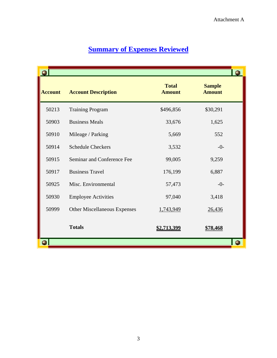|                |                                     |                               |                                | $\bullet$ |
|----------------|-------------------------------------|-------------------------------|--------------------------------|-----------|
| <b>Account</b> | <b>Account Description</b>          | <b>Total</b><br><b>Amount</b> | <b>Sample</b><br><b>Amount</b> |           |
| 50213          | <b>Training Program</b>             | \$496,856                     | \$30,291                       |           |
| 50903          | <b>Business Meals</b>               | 33,676                        | 1,625                          |           |
| 50910          | Mileage / Parking                   | 5,669                         | 552                            |           |
| 50914          | <b>Schedule Checkers</b>            | 3,532                         | $-0-$                          |           |
| 50915          | Seminar and Conference Fee          | 99,005                        | 9,259                          |           |
| 50917          | <b>Business Travel</b>              | 176,199                       | 6,887                          |           |
| 50925          | Misc. Environmental                 | 57,473                        | $-0-$                          |           |
| 50930          | <b>Employee Activities</b>          | 97,040                        | 3,418                          |           |
| 50999          | <b>Other Miscellaneous Expenses</b> | 1,743,949                     | 26,436                         |           |
|                | <b>Totals</b>                       | \$2,713,399                   | <u>\$78,468</u>                |           |
|                |                                     |                               |                                | O         |

## **Summary of Expenses Reviewed**